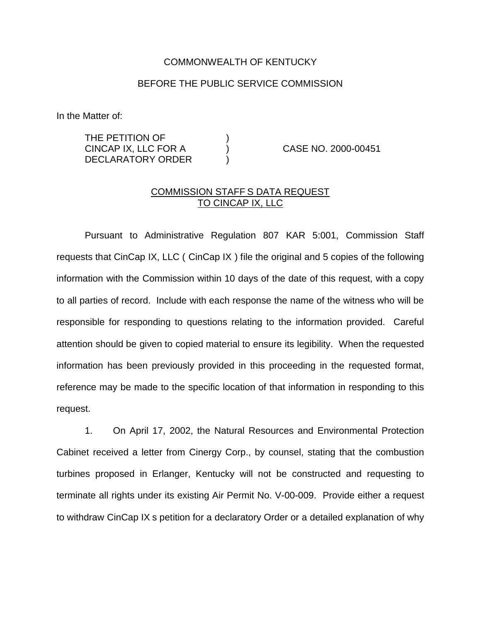## COMMONWEALTH OF KENTUCKY

## BEFORE THE PUBLIC SERVICE COMMISSION

In the Matter of:

THE PETITION OF  $)$ CINCAP IX, LLC FOR A ) CASE NO. 2000-00451 DECLARATORY ORDER

## COMMISSION STAFF S DATA REQUEST TO CINCAP IX, LLC

Pursuant to Administrative Regulation 807 KAR 5:001, Commission Staff requests that CinCap IX, LLC ( CinCap IX ) file the original and 5 copies of the following information with the Commission within 10 days of the date of this request, with a copy to all parties of record. Include with each response the name of the witness who will be responsible for responding to questions relating to the information provided. Careful attention should be given to copied material to ensure its legibility. When the requested information has been previously provided in this proceeding in the requested format, reference may be made to the specific location of that information in responding to this request.

1. On April 17, 2002, the Natural Resources and Environmental Protection Cabinet received a letter from Cinergy Corp., by counsel, stating that the combustion turbines proposed in Erlanger, Kentucky will not be constructed and requesting to terminate all rights under its existing Air Permit No. V-00-009. Provide either a request to withdraw CinCap IX s petition for a declaratory Order or a detailed explanation of why